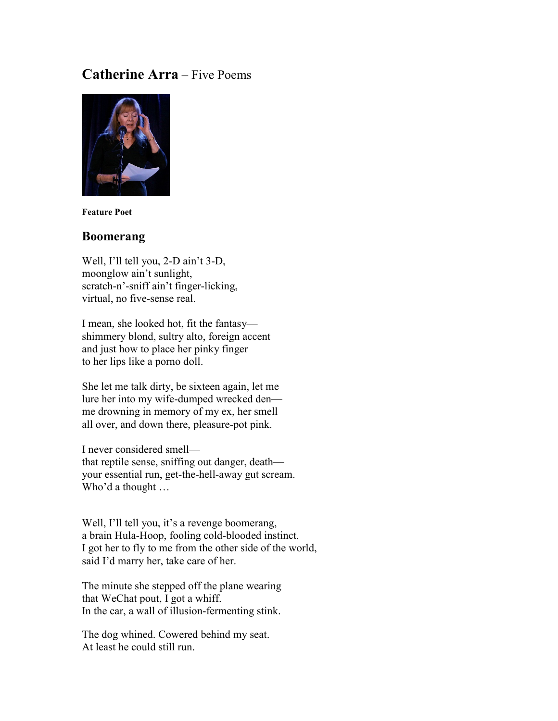## **Catherine Arra** – Five Poems



**Feature Poet**

### **Boomerang**

Well, I'll tell you, 2-D ain't 3-D, moonglow ain't sunlight, scratch-n'-sniff ain't finger-licking, virtual, no five-sense real.

I mean, she looked hot, fit the fantasy shimmery blond, sultry alto, foreign accent and just how to place her pinky finger to her lips like a porno doll.

She let me talk dirty, be sixteen again, let me lure her into my wife-dumped wrecked den me drowning in memory of my ex, her smell all over, and down there, pleasure-pot pink.

I never considered smell that reptile sense, sniffing out danger, death your essential run, get-the-hell-away gut scream. Who'd a thought …

Well, I'll tell you, it's a revenge boomerang, a brain Hula-Hoop, fooling cold-blooded instinct. I got her to fly to me from the other side of the world, said I'd marry her, take care of her.

The minute she stepped off the plane wearing that WeChat pout, I got a whiff. In the car, a wall of illusion-fermenting stink.

The dog whined. Cowered behind my seat. At least he could still run.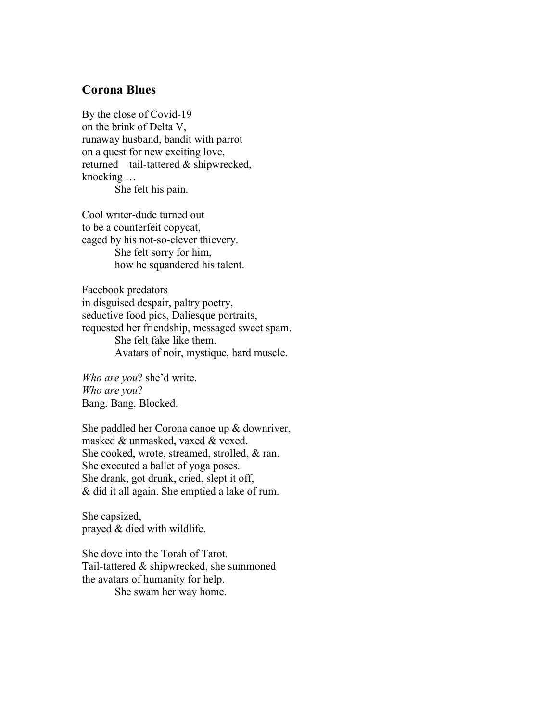### **Corona Blues**

By the close of Covid-19 on the brink of Delta V, runaway husband, bandit with parrot on a quest for new exciting love, returned—tail-tattered & shipwrecked, knocking … She felt his pain.

Cool writer-dude turned out to be a counterfeit copycat, caged by his not-so-clever thievery. She felt sorry for him, how he squandered his talent.

Facebook predators in disguised despair, paltry poetry, seductive food pics, Daliesque portraits, requested her friendship, messaged sweet spam. She felt fake like them. Avatars of noir, mystique, hard muscle.

*Who are you*? she'd write. *Who are you*? Bang. Bang. Blocked.

She paddled her Corona canoe up & downriver, masked & unmasked, vaxed & vexed. She cooked, wrote, streamed, strolled, & ran. She executed a ballet of yoga poses. She drank, got drunk, cried, slept it off, & did it all again. She emptied a lake of rum.

She capsized, prayed & died with wildlife.

She dove into the Torah of Tarot. Tail-tattered & shipwrecked, she summoned the avatars of humanity for help. She swam her way home.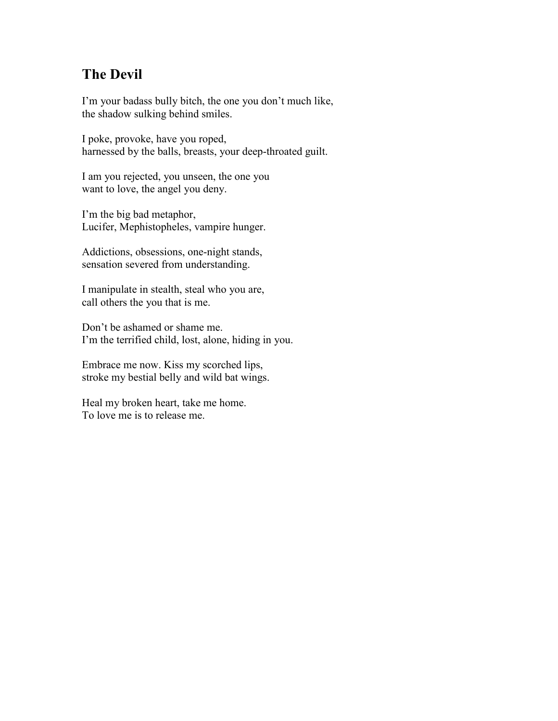# **The Devil**

I'm your badass bully bitch, the one you don't much like, the shadow sulking behind smiles.

I poke, provoke, have you roped, harnessed by the balls, breasts, your deep-throated guilt.

I am you rejected, you unseen, the one you want to love, the angel you deny.

I'm the big bad metaphor, Lucifer, Mephistopheles, vampire hunger.

Addictions, obsessions, one-night stands, sensation severed from understanding.

I manipulate in stealth, steal who you are, call others the you that is me.

Don't be ashamed or shame me. I'm the terrified child, lost, alone, hiding in you.

Embrace me now. Kiss my scorched lips, stroke my bestial belly and wild bat wings.

Heal my broken heart, take me home. To love me is to release me.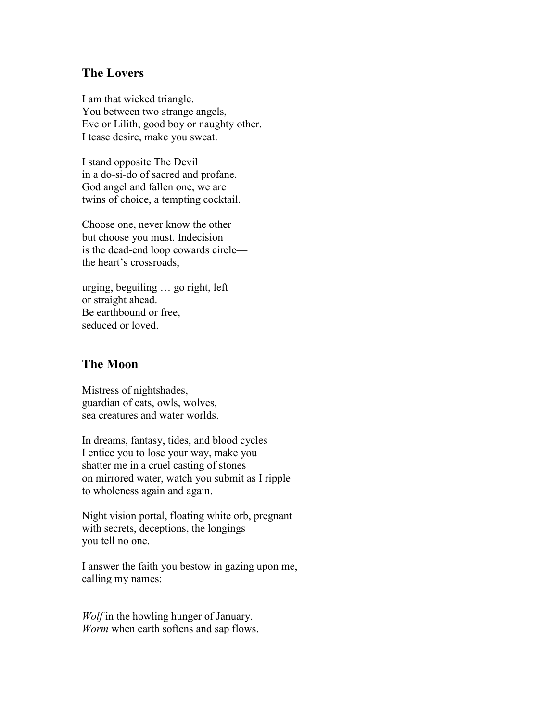### **The Lovers**

I am that wicked triangle. You between two strange angels, Eve or Lilith, good boy or naughty other. I tease desire, make you sweat.

I stand opposite The Devil in a do-si-do of sacred and profane. God angel and fallen one, we are twins of choice, a tempting cocktail.

Choose one, never know the other but choose you must. Indecision is the dead-end loop cowards circle the heart's crossroads,

urging, beguiling … go right, left or straight ahead. Be earthbound or free, seduced or loved.

### **The Moon**

Mistress of nightshades, guardian of cats, owls, wolves, sea creatures and water worlds.

In dreams, fantasy, tides, and blood cycles I entice you to lose your way, make you shatter me in a cruel casting of stones on mirrored water, watch you submit as I ripple to wholeness again and again.

Night vision portal, floating white orb, pregnant with secrets, deceptions, the longings you tell no one.

I answer the faith you bestow in gazing upon me, calling my names:

*Wolf* in the howling hunger of January. *Worm* when earth softens and sap flows.